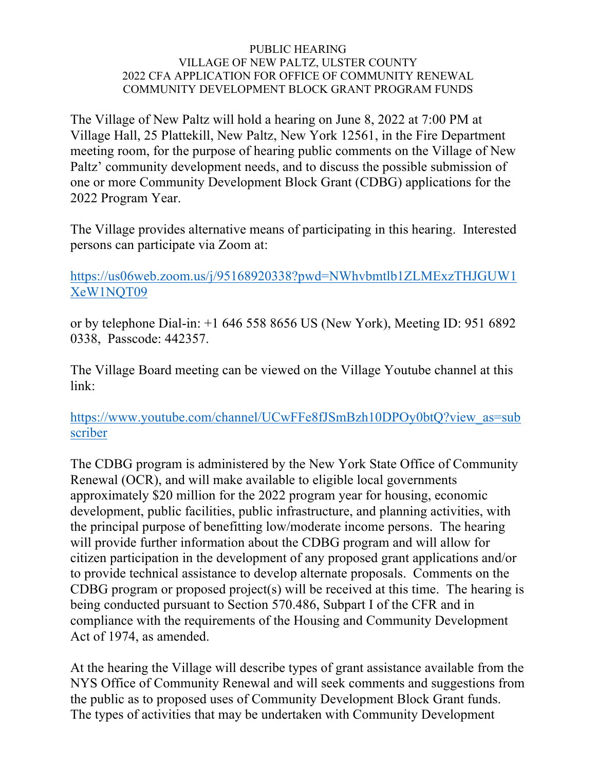## PUBLIC HEARING VILLAGE OF NEW PALTZ, ULSTER COUNTY 2022 CFA APPLICATION FOR OFFICE OF COMMUNITY RENEWAL COMMUNITY DEVELOPMENT BLOCK GRANT PROGRAM FUNDS

The Village of New Paltz will hold a hearing on June 8, 2022 at 7:00 PM at Village Hall, 25 Plattekill, New Paltz, New York 12561, in the Fire Department meeting room, for the purpose of hearing public comments on the Village of New Paltz' community development needs, and to discuss the possible submission of one or more Community Development Block Grant (CDBG) applications for the 2022 Program Year.

The Village provides alternative means of participating in this hearing. Interested persons can participate via Zoom at:

## https://us06web.zoom.us/j/95168920338?pwd=NWhvbmtlb1ZLMExzTHJGUW1 XeW1NOT09

or by telephone Dial-in: +1 646 558 8656 US (New York), Meeting ID: 951 6892 0338, Passcode: 442357.

The Village Board meeting can be viewed on the Village Youtube channel at this link:

https://www.youtube.com/channel/UCwFFe8fJSmBzh10DPOy0btQ?view\_as=sub scriber

The CDBG program is administered by the New York State Office of Community Renewal (OCR), and will make available to eligible local governments approximately \$20 million for the 2022 program year for housing, economic development, public facilities, public infrastructure, and planning activities, with the principal purpose of benefitting low/moderate income persons. The hearing will provide further information about the CDBG program and will allow for citizen participation in the development of any proposed grant applications and/or to provide technical assistance to develop alternate proposals. Comments on the CDBG program or proposed project(s) will be received at this time. The hearing is being conducted pursuant to Section 570.486, Subpart I of the CFR and in compliance with the requirements of the Housing and Community Development Act of 1974, as amended.

At the hearing the Village will describe types of grant assistance available from the NYS Office of Community Renewal and will seek comments and suggestions from the public as to proposed uses of Community Development Block Grant funds. The types of activities that may be undertaken with Community Development